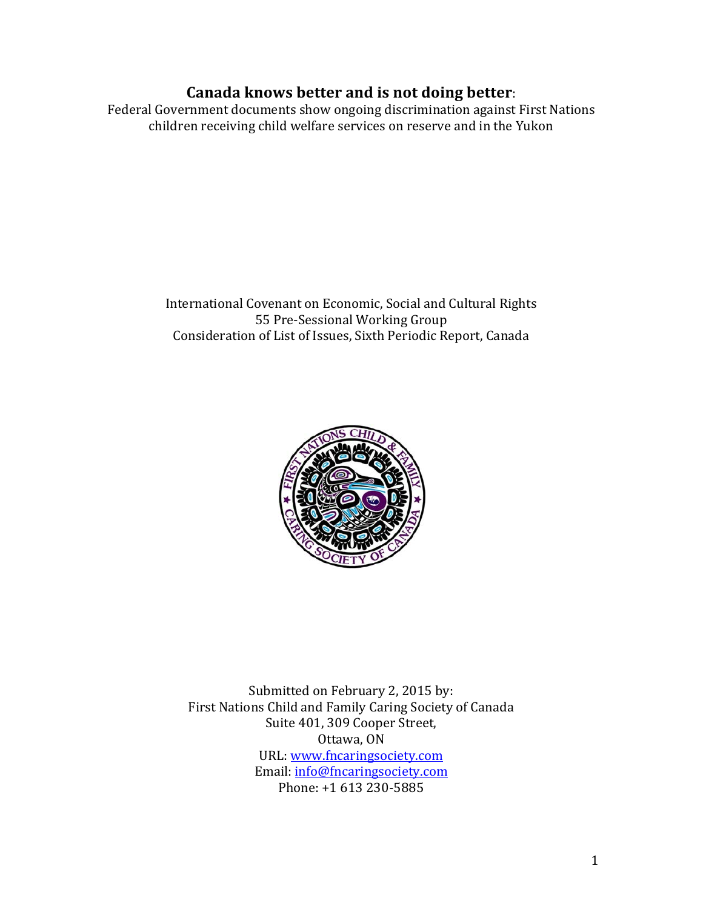# Canada knows better and is not doing better:

Federal Government documents show ongoing discrimination against First Nations children receiving child welfare services on reserve and in the Yukon

> International Covenant on Economic, Social and Cultural Rights 55 Pre-Sessional Working Group Consideration of List of Issues, Sixth Periodic Report, Canada



Submitted on February 2, 2015 by: First Nations Child and Family Caring Society of Canada Suite 401, 309 Cooper Street, Ottawa, ON URL: www.fncaringsociety.com Email: info@fncaringsociety.com Phone: +1 613 230-5885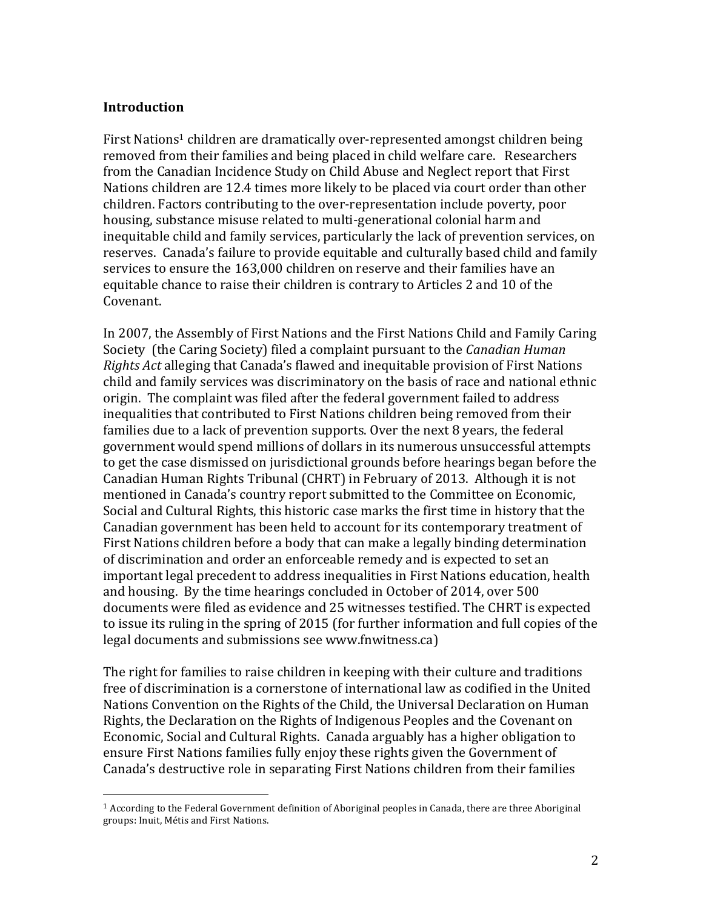## **Introduction**

First Nations<sup>1</sup> children are dramatically over-represented amongst children being removed from their families and being placed in child welfare care. Researchers from the Canadian Incidence Study on Child Abuse and Neglect report that First Nations children are 12.4 times more likely to be placed via court order than other children. Factors contributing to the over-representation include poverty, poor housing, substance misuse related to multi-generational colonial harm and inequitable child and family services, particularly the lack of prevention services, on reserves. Canada's failure to provide equitable and culturally based child and family services to ensure the 163,000 children on reserve and their families have an equitable chance to raise their children is contrary to Articles 2 and 10 of the Covenant.

In 2007, the Assembly of First Nations and the First Nations Child and Family Caring Society (the Caring Society) filed a complaint pursuant to the *Canadian Human Rights Act* alleging that Canada's flawed and inequitable provision of First Nations child and family services was discriminatory on the basis of race and national ethnic origin. The complaint was filed after the federal government failed to address inequalities that contributed to First Nations children being removed from their families due to a lack of prevention supports. Over the next 8 years, the federal government would spend millions of dollars in its numerous unsuccessful attempts to get the case dismissed on jurisdictional grounds before hearings began before the Canadian Human Rights Tribunal (CHRT) in February of 2013. Although it is not mentioned in Canada's country report submitted to the Committee on Economic, Social and Cultural Rights, this historic case marks the first time in history that the Canadian government has been held to account for its contemporary treatment of First Nations children before a body that can make a legally binding determination of discrimination and order an enforceable remedy and is expected to set an important legal precedent to address inequalities in First Nations education, health and housing. By the time hearings concluded in October of 2014, over 500 documents were filed as evidence and 25 witnesses testified. The CHRT is expected to issue its ruling in the spring of 2015 (for further information and full copies of the legal documents and submissions see www.fnwitness.ca)

The right for families to raise children in keeping with their culture and traditions free of discrimination is a cornerstone of international law as codified in the United Nations Convention on the Rights of the Child, the Universal Declaration on Human Rights, the Declaration on the Rights of Indigenous Peoples and the Covenant on Economic, Social and Cultural Rights. Canada arguably has a higher obligation to ensure First Nations families fully enjoy these rights given the Government of Canada's destructive role in separating First Nations children from their families

 

 $1$  According to the Federal Government definition of Aboriginal peoples in Canada, there are three Aboriginal groups: Inuit, Métis and First Nations.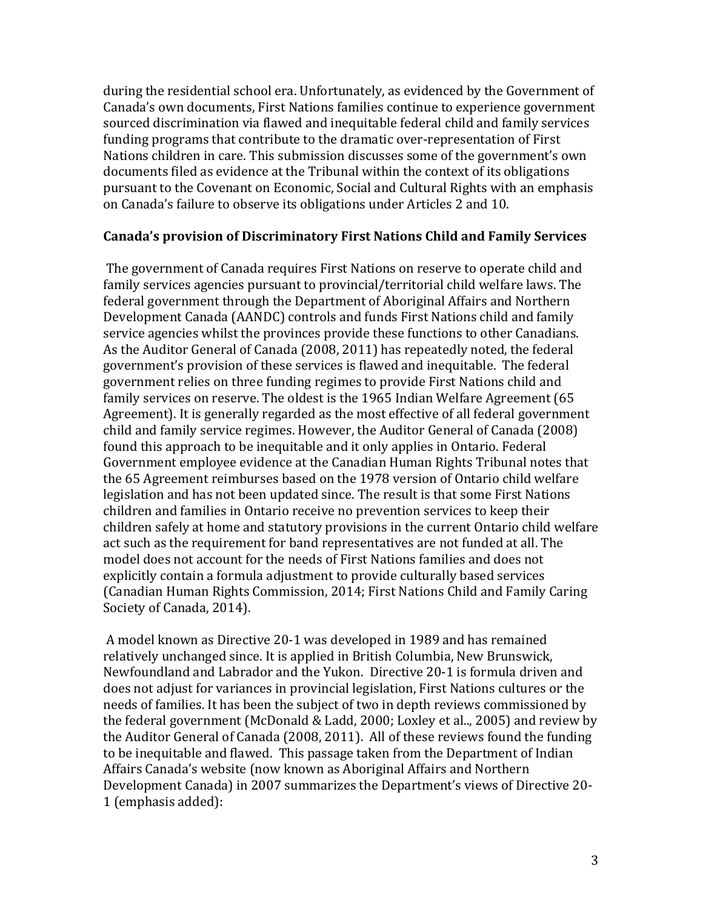during the residential school era. Unfortunately, as evidenced by the Government of Canada's own documents, First Nations families continue to experience government sourced discrimination via flawed and inequitable federal child and family services funding programs that contribute to the dramatic over-representation of First Nations children in care. This submission discusses some of the government's own documents filed as evidence at the Tribunal within the context of its obligations pursuant to the Covenant on Economic, Social and Cultural Rights with an emphasis on Canada's failure to observe its obligations under Articles 2 and 10.

## **Canada's provision of Discriminatory First Nations Child and Family Services**

The government of Canada requires First Nations on reserve to operate child and family services agencies pursuant to provincial/territorial child welfare laws. The federal government through the Department of Aboriginal Affairs and Northern Development Canada (AANDC) controls and funds First Nations child and family service agencies whilst the provinces provide these functions to other Canadians. As the Auditor General of Canada (2008, 2011) has repeatedly noted, the federal government's provision of these services is flawed and inequitable. The federal government relies on three funding regimes to provide First Nations child and family services on reserve. The oldest is the 1965 Indian Welfare Agreement (65 Agreement). It is generally regarded as the most effective of all federal government child and family service regimes. However, the Auditor General of Canada (2008) found this approach to be inequitable and it only applies in Ontario. Federal Government employee evidence at the Canadian Human Rights Tribunal notes that the 65 Agreement reimburses based on the 1978 version of Ontario child welfare legislation and has not been updated since. The result is that some First Nations children and families in Ontario receive no prevention services to keep their children safely at home and statutory provisions in the current Ontario child welfare act such as the requirement for band representatives are not funded at all. The model does not account for the needs of First Nations families and does not explicitly contain a formula adjustment to provide culturally based services (Canadian Human Rights Commission, 2014; First Nations Child and Family Caring Society of Canada, 2014).

A model known as Directive 20-1 was developed in 1989 and has remained relatively unchanged since. It is applied in British Columbia, New Brunswick, Newfoundland and Labrador and the Yukon. Directive 20-1 is formula driven and does not adjust for variances in provincial legislation, First Nations cultures or the needs of families. It has been the subject of two in depth reviews commissioned by the federal government (McDonald & Ladd, 2000; Loxley et al.., 2005) and review by the Auditor General of Canada (2008, 2011). All of these reviews found the funding to be inequitable and flawed. This passage taken from the Department of Indian Affairs Canada's website (now known as Aboriginal Affairs and Northern Development Canada) in 2007 summarizes the Department's views of Directive 20-1 (emphasis added):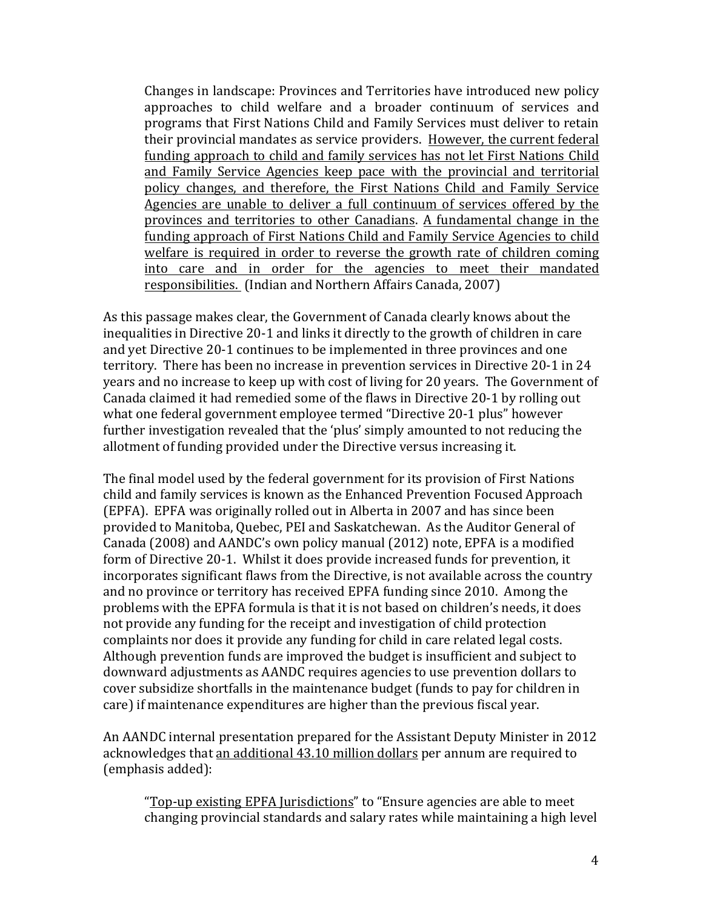Changes in landscape: Provinces and Territories have introduced new policy approaches to child welfare and a broader continuum of services and programs that First Nations Child and Family Services must deliver to retain their provincial mandates as service providers. However, the current federal funding approach to child and family services has not let First Nations Child and Family Service Agencies keep pace with the provincial and territorial policy changes, and therefore, the First Nations Child and Family Service Agencies are unable to deliver a full continuum of services offered by the provinces and territories to other Canadians. A fundamental change in the funding approach of First Nations Child and Family Service Agencies to child welfare is required in order to reverse the growth rate of children coming into care and in order for the agencies to meet their mandated responsibilities. (Indian and Northern Affairs Canada, 2007)

As this passage makes clear, the Government of Canada clearly knows about the inequalities in Directive 20-1 and links it directly to the growth of children in care and yet Directive 20-1 continues to be implemented in three provinces and one territory. There has been no increase in prevention services in Directive 20-1 in 24 years and no increase to keep up with cost of living for 20 years. The Government of Canada claimed it had remedied some of the flaws in Directive 20-1 by rolling out what one federal government employee termed "Directive 20-1 plus" however further investigation revealed that the 'plus' simply amounted to not reducing the allotment of funding provided under the Directive versus increasing it.

The final model used by the federal government for its provision of First Nations child and family services is known as the Enhanced Prevention Focused Approach (EPFA). EPFA was originally rolled out in Alberta in 2007 and has since been provided to Manitoba, Quebec, PEI and Saskatchewan. As the Auditor General of Canada (2008) and AANDC's own policy manual (2012) note, EPFA is a modified form of Directive 20-1. Whilst it does provide increased funds for prevention, it incorporates significant flaws from the Directive, is not available across the country and no province or territory has received EPFA funding since 2010. Among the problems with the EPFA formula is that it is not based on children's needs, it does not provide any funding for the receipt and investigation of child protection complaints nor does it provide any funding for child in care related legal costs. Although prevention funds are improved the budget is insufficient and subject to downward adjustments as AANDC requires agencies to use prevention dollars to cover subsidize shortfalls in the maintenance budget (funds to pay for children in care) if maintenance expenditures are higher than the previous fiscal year.

An AANDC internal presentation prepared for the Assistant Deputy Minister in 2012 acknowledges that an additional 43.10 million dollars per annum are required to (emphasis added):

"Top-up existing EPFA Jurisdictions" to "Ensure agencies are able to meet changing provincial standards and salary rates while maintaining a high level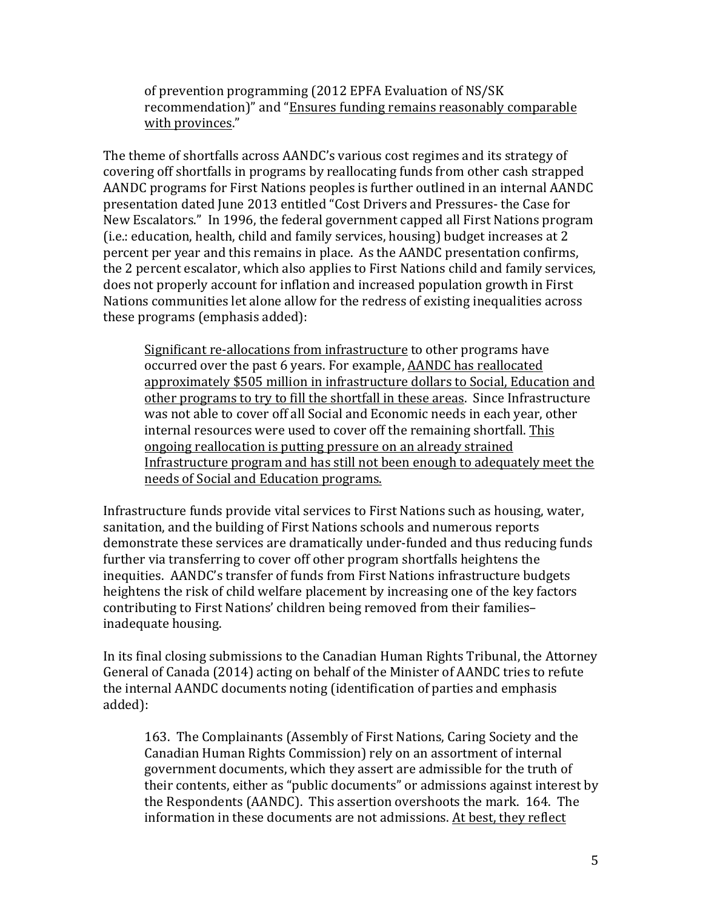of prevention programming (2012 EPFA Evaluation of NS/SK) recommendation)" and "Ensures funding remains reasonably comparable with provinces."

The theme of shortfalls across AANDC's various cost regimes and its strategy of covering off shortfalls in programs by reallocating funds from other cash strapped AANDC programs for First Nations peoples is further outlined in an internal AANDC presentation dated June 2013 entitled "Cost Drivers and Pressures- the Case for New Escalators." In 1996, the federal government capped all First Nations program (i.e.: education, health, child and family services, housing) budget increases at 2 percent per year and this remains in place. As the AANDC presentation confirms, the 2 percent escalator, which also applies to First Nations child and family services, does not properly account for inflation and increased population growth in First Nations communities let alone allow for the redress of existing inequalities across these programs (emphasis added):

Significant re-allocations from infrastructure to other programs have occurred over the past 6 years. For example, AANDC has reallocated approximately \$505 million in infrastructure dollars to Social, Education and other programs to try to fill the shortfall in these areas. Since Infrastructure was not able to cover off all Social and Economic needs in each year, other internal resources were used to cover off the remaining shortfall. This ongoing reallocation is putting pressure on an already strained Infrastructure program and has still not been enough to adequately meet the needs of Social and Education programs. 

Infrastructure funds provide vital services to First Nations such as housing, water, sanitation, and the building of First Nations schools and numerous reports demonstrate these services are dramatically under-funded and thus reducing funds further via transferring to cover off other program shortfalls heightens the inequities. AANDC's transfer of funds from First Nations infrastructure budgets heightens the risk of child welfare placement by increasing one of the key factors contributing to First Nations' children being removed from their familiesinadequate housing.

In its final closing submissions to the Canadian Human Rights Tribunal, the Attorney General of Canada (2014) acting on behalf of the Minister of AANDC tries to refute the internal AANDC documents noting (identification of parties and emphasis added):

163. The Complainants (Assembly of First Nations, Caring Society and the Canadian Human Rights Commission) rely on an assortment of internal government documents, which they assert are admissible for the truth of their contents, either as "public documents" or admissions against interest by the Respondents (AANDC). This assertion overshoots the mark. 164. The information in these documents are not admissions. At best, they reflect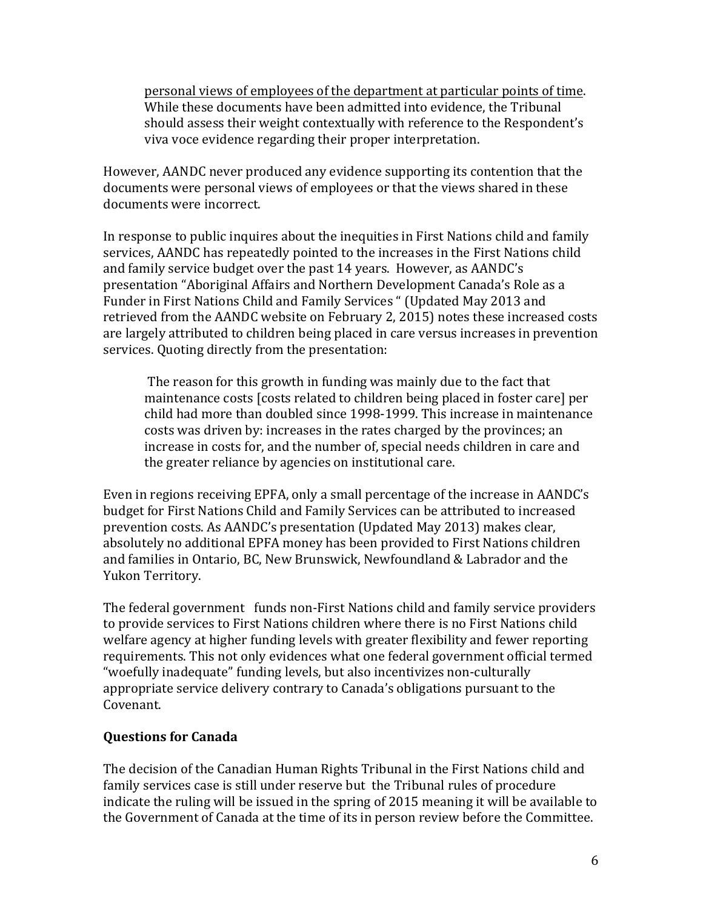personal views of employees of the department at particular points of time. While these documents have been admitted into evidence, the Tribunal should assess their weight contextually with reference to the Respondent's viva voce evidence regarding their proper interpretation.

However, AANDC never produced any evidence supporting its contention that the documents were personal views of employees or that the views shared in these documents were incorrect.

In response to public inquires about the inequities in First Nations child and family services, AANDC has repeatedly pointed to the increases in the First Nations child and family service budget over the past 14 years. However, as AANDC's presentation "Aboriginal Affairs and Northern Development Canada's Role as a Funder in First Nations Child and Family Services " (Updated May 2013 and retrieved from the AANDC website on February 2, 2015) notes these increased costs are largely attributed to children being placed in care versus increases in prevention services. Quoting directly from the presentation:

The reason for this growth in funding was mainly due to the fact that maintenance costs [costs related to children being placed in foster care] per child had more than doubled since 1998-1999. This increase in maintenance costs was driven by: increases in the rates charged by the provinces; an increase in costs for, and the number of, special needs children in care and the greater reliance by agencies on institutional care.

Even in regions receiving EPFA, only a small percentage of the increase in AANDC's budget for First Nations Child and Family Services can be attributed to increased prevention costs. As AANDC's presentation (Updated May 2013) makes clear, absolutely no additional EPFA money has been provided to First Nations children and families in Ontario, BC, New Brunswick, Newfoundland & Labrador and the Yukon Territory.

The federal government funds non-First Nations child and family service providers to provide services to First Nations children where there is no First Nations child welfare agency at higher funding levels with greater flexibility and fewer reporting requirements. This not only evidences what one federal government official termed "woefully inadequate" funding levels, but also incentivizes non-culturally appropriate service delivery contrary to Canada's obligations pursuant to the Covenant. 

# **Questions for Canada**

The decision of the Canadian Human Rights Tribunal in the First Nations child and family services case is still under reserve but the Tribunal rules of procedure indicate the ruling will be issued in the spring of 2015 meaning it will be available to the Government of Canada at the time of its in person review before the Committee.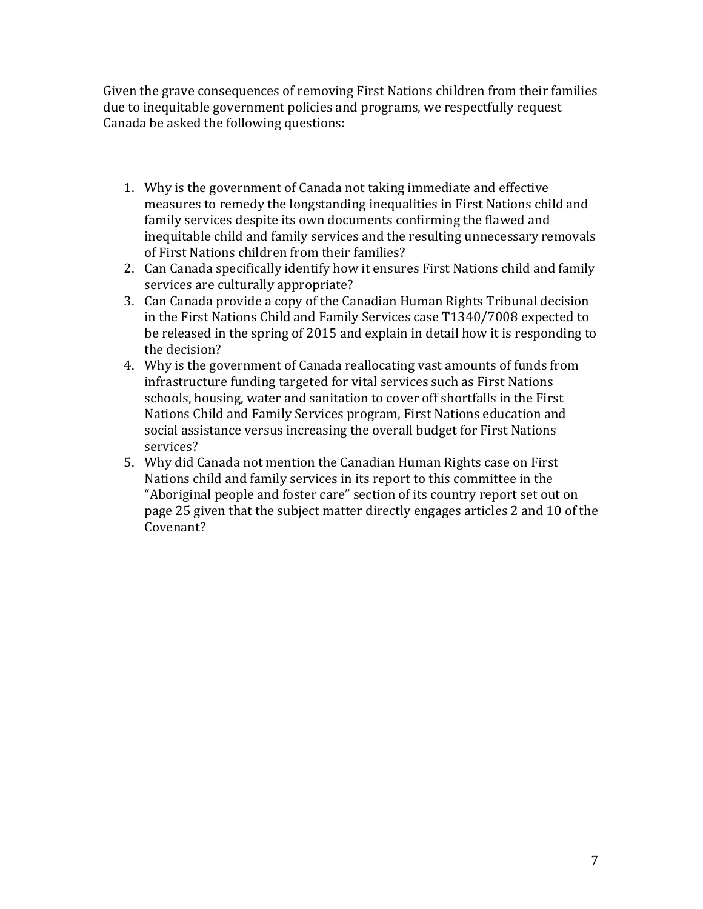Given the grave consequences of removing First Nations children from their families due to inequitable government policies and programs, we respectfully request Canada be asked the following questions:

- 1. Why is the government of Canada not taking immediate and effective measures to remedy the longstanding inequalities in First Nations child and family services despite its own documents confirming the flawed and inequitable child and family services and the resulting unnecessary removals of First Nations children from their families?
- 2. Can Canada specifically identify how it ensures First Nations child and family services are culturally appropriate?
- 3. Can Canada provide a copy of the Canadian Human Rights Tribunal decision in the First Nations Child and Family Services case T1340/7008 expected to be released in the spring of 2015 and explain in detail how it is responding to the decision?
- 4. Why is the government of Canada reallocating vast amounts of funds from infrastructure funding targeted for vital services such as First Nations schools, housing, water and sanitation to cover off shortfalls in the First Nations Child and Family Services program, First Nations education and social assistance versus increasing the overall budget for First Nations services?
- 5. Why did Canada not mention the Canadian Human Rights case on First Nations child and family services in its report to this committee in the "Aboriginal people and foster care" section of its country report set out on page 25 given that the subject matter directly engages articles 2 and 10 of the Covenant?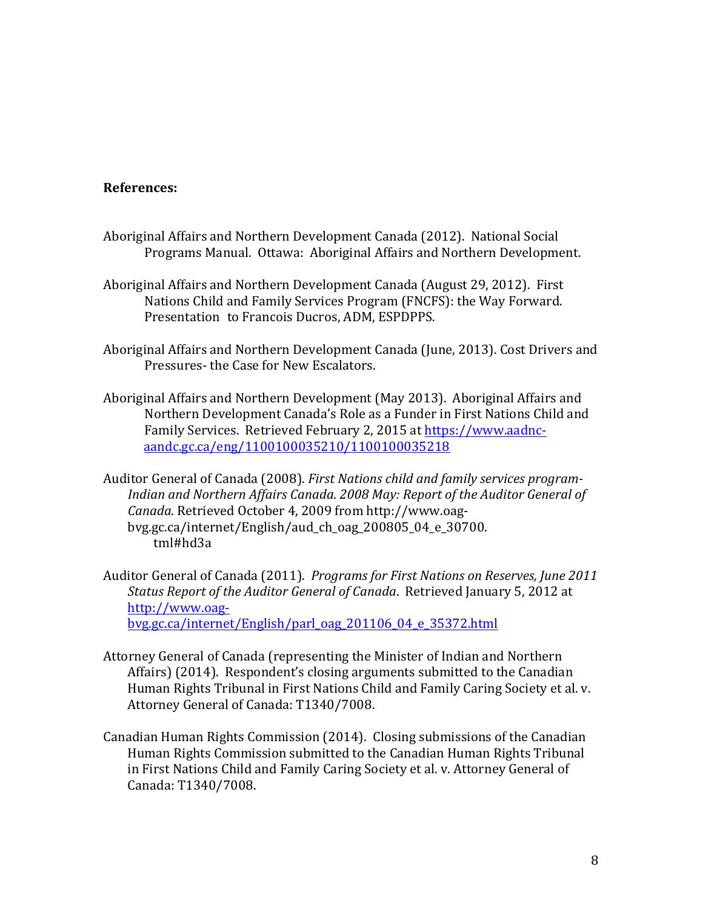## **References:**

- Aboriginal Affairs and Northern Development Canada (2012). National Social Programs Manual. Ottawa: Aboriginal Affairs and Northern Development.
- Aboriginal Affairs and Northern Development Canada (August 29, 2012). First Nations Child and Family Services Program (FNCFS): the Way Forward. Presentation to Francois Ducros, ADM, ESPDPPS.
- Aboriginal Affairs and Northern Development Canada (June, 2013). Cost Drivers and Pressures- the Case for New Escalators.
- Aboriginal Affairs and Northern Development (May 2013). Aboriginal Affairs and Northern Development Canada's Role as a Funder in First Nations Child and Family Services. Retrieved February 2, 2015 at https://www.aadncaandc.gc.ca/eng/1100100035210/1100100035218
- Auditor General of Canada (2008). *First Nations child and family services program-Indian and Northern Affairs Canada. 2008 May: Report of the Auditor General of Canada*. Retrieved October 4, 2009 from http://www.oagbvg.gc.ca/internet/English/aud\_ch\_oag\_200805\_04\_e\_30700. tml#hd3a
- Auditor General of Canada (2011). *Programs for First Nations on Reserves, June 2011 Status* Report of the Auditor General of Canada. Retrieved January 5, 2012 at http://www.oagbvg.gc.ca/internet/English/parl\_oag\_201106\_04\_e\_35372.html
- Attorney General of Canada (representing the Minister of Indian and Northern Affairs) (2014). Respondent's closing arguments submitted to the Canadian Human Rights Tribunal in First Nations Child and Family Caring Society et al. v. Attorney General of Canada: T1340/7008.
- Canadian Human Rights Commission (2014). Closing submissions of the Canadian Human Rights Commission submitted to the Canadian Human Rights Tribunal in First Nations Child and Family Caring Society et al. v. Attorney General of Canada: T1340/7008.